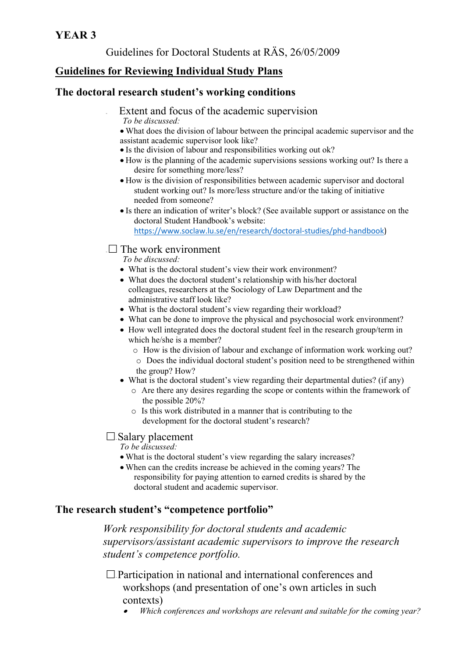### **YEAR 3**

### Guidelines for Doctoral Students at RÄS, 26/05/2009

## **Guidelines for Reviewing Individual Study Plans**

#### **The doctoral research student's working conditions**

- Extent and focus of the academic supervision *To be discussed:* 
	- What does the division of labour between the principal academic supervisor and the assistant academic supervisor look like?
	- Is the division of labour and responsibilities working out ok?
	- How is the planning of the academic supervisions sessions working out? Is there a desire for something more/less?
	- How is the division of responsibilities between academic supervisor and doctoral student working out? Is more/less structure and/or the taking of initiative needed from someone?
	- Is there an indication of writer's block? (See available support or assistance on the doctoral Student Handbook's website: https://www.soclaw.lu.se/en/research/doctoral‐studies/phd‐handbook)

#### $\Box$  The work environment

*To be discussed:* 

- What is the doctoral student's view their work environment?
- What does the doctoral student's relationship with his/her doctoral colleagues, researchers at the Sociology of Law Department and the administrative staff look like?
- What is the doctoral student's view regarding their workload?
- What can be done to improve the physical and psychosocial work environment?
- How well integrated does the doctoral student feel in the research group/term in which he/she is a member?
	- o How is the division of labour and exchange of information work working out?
	- o Does the individual doctoral student's position need to be strengthened within the group? How?
- What is the doctoral student's view regarding their departmental duties? (if any)
	- o Are there any desires regarding the scope or contents within the framework of the possible 20%?
	- o Is this work distributed in a manner that is contributing to the development for the doctoral student's research?

### $\Box$  Salary placement

*To be discussed:* 

- What is the doctoral student's view regarding the salary increases?
- When can the credits increase be achieved in the coming years? The responsibility for paying attention to earned credits is shared by the doctoral student and academic supervisor.

### **The research student's "competence portfolio"**

*Work responsibility for doctoral students and academic supervisors/assistant academic supervisors to improve the research student's competence portfolio.* 

 $\Box$  Participation in national and international conferences and workshops (and presentation of one's own articles in such contexts)

. *Which conferences and workshops are relevant and suitable for the coming year?*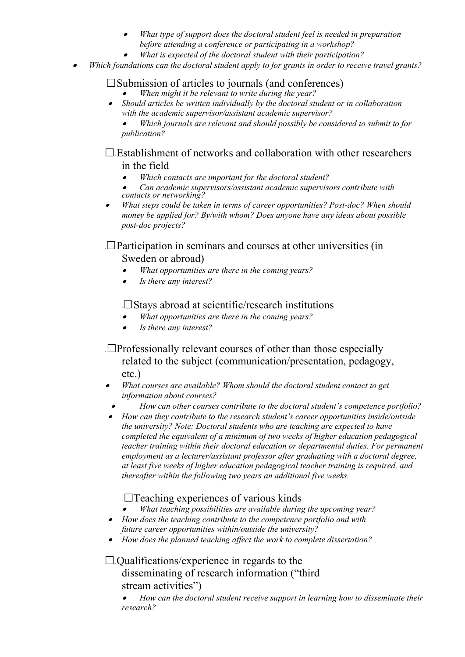- . *What type of support does the doctoral student feel is needed in preparation before attending a conference or participating in a workshop?* 
	- *What is expected of the doctoral student with their participation?*
- . *Which foundations can the doctoral student apply to for grants in order to receive travel grants?*

# $\Box$  Submission of articles to journals (and conferences)

- . *When might it be relevant to write during the year?*
- $\bullet$  *Should articles be written individually by the doctoral student or in collaboration with the academic supervisor/assistant academic supervisor?*

. *Which journals are relevant and should possibly be considered to submit to for publication?* 

## $\Box$  Establishment of networks and collaboration with other researchers in the field

- . *Which contacts are important for the doctoral student?*
- . *Can academic supervisors/assistant academic supervisors contribute with contacts or networking?*
- . *What steps could be taken in terms of career opportunities? Post-doc? When should money be applied for? By/with whom? Does anyone have any ideas about possible post-doc projects?*

### $\square$  Participation in seminars and courses at other universities (in Sweden or abroad)

- $\bullet$ *What opportunities are there in the coming years?*
- . *Is there any interest?*

∙

### $\Box$ Stays abroad at scientific/research institutions

- . *What opportunities are there in the coming years?*
- $\bullet$ *Is there any interest?*

## $\Box$ Professionally relevant courses of other than those especially related to the subject (communication/presentation, pedagogy, etc.)

- *What courses are available? Whom should the doctoral student contact to get information about courses?*
- . *How can other courses contribute to the doctoral student's competence portfolio?*
- $\bullet$  *How can they contribute to the research student's career opportunities inside/outside the university? Note: Doctoral students who are teaching are expected to have completed the equivalent of a minimum of two weeks of higher education pedagogical teacher training within their doctoral education or departmental duties. For permanent employment as a lecturer/assistant professor after graduating with a doctoral degree, at least five weeks of higher education pedagogical teacher training is required, and thereafter within the following two years an additional five weeks.*

## $\Box$ Teaching experiences of various kinds

- . *What teaching possibilities are available during the upcoming year?*
- *How does the teaching contribute to the competence portfolio and with future career opportunities within/outside the university?*
- *How does the planned teaching affect the work to complete dissertation?*

### $\Box$  Qualifications/experience in regards to the disseminating of research information ("third stream activities")

. *How can the doctoral student receive support in learning how to disseminate their research?*